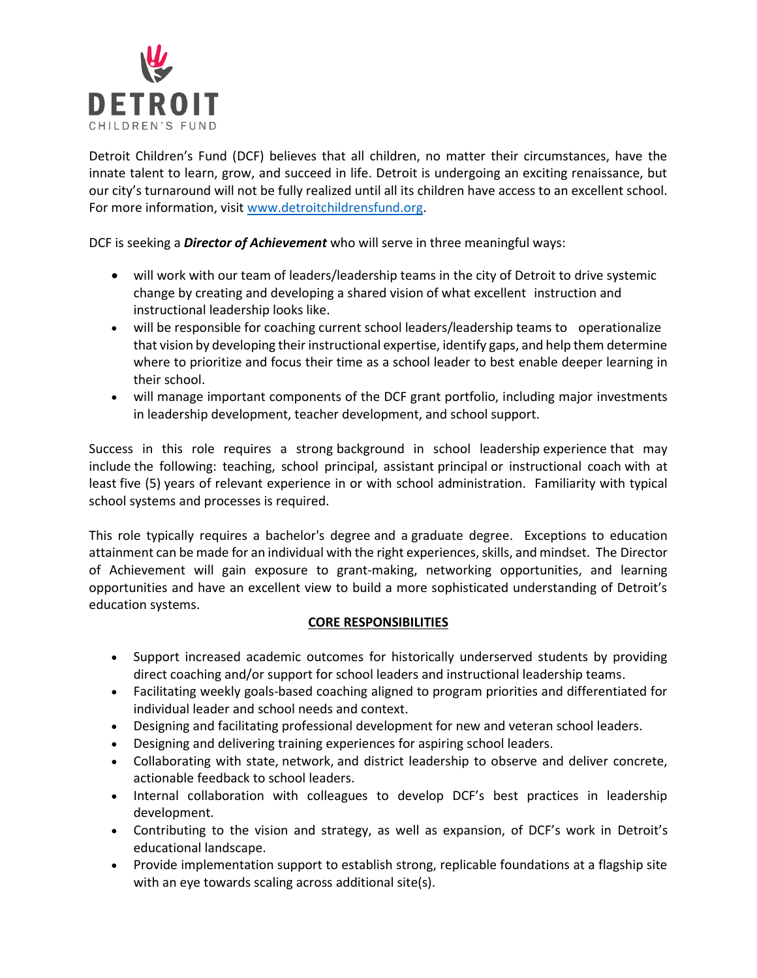

Detroit Children's Fund (DCF) believes that all children, no matter their circumstances, have the innate talent to learn, grow, and succeed in life. Detroit is undergoing an exciting renaissance, but our city's turnaround will not be fully realized until all its children have access to an excellent school. For more information, visit [www.detroitchildrensfund.org.](http://www.detroitchildrensfund.org/)

DCF is seeking a *Director of Achievement* who will serve in three meaningful ways:

- will work with our team of leaders/leadership teams in the city of Detroit to drive systemic change by creating and developing a shared vision of what excellent instruction and instructional leadership looks like.
- will be responsible for coaching current school leaders/leadership teams to operationalize that vision by developing their instructional expertise, identify gaps, and help them determine where to prioritize and focus their time as a school leader to best enable deeper learning in their school.
- will manage important components of the DCF grant portfolio, including major investments in leadership development, teacher development, and school support.

Success in this role requires a strong background in school leadership experience that may include the following: teaching, school principal, assistant principal or instructional coach with at least five (5) years of relevant experience in or with school administration. Familiarity with typical school systems and processes is required.

This role typically requires a bachelor's degree and a graduate degree. Exceptions to education attainment can be made for an individual with the right experiences, skills, and mindset. The Director of Achievement will gain exposure to grant-making, networking opportunities, and learning opportunities and have an excellent view to build a more sophisticated understanding of Detroit's education systems.

# **CORE RESPONSIBILITIES**

- Support increased academic outcomes for historically underserved students by providing direct coaching and/or support for school leaders and instructional leadership teams.
- Facilitating weekly goals-based coaching aligned to program priorities and differentiated for individual leader and school needs and context.
- Designing and facilitating professional development for new and veteran school leaders.
- Designing and delivering training experiences for aspiring school leaders.
- Collaborating with state, network, and district leadership to observe and deliver concrete, actionable feedback to school leaders.
- Internal collaboration with colleagues to develop DCF's best practices in leadership development.
- Contributing to the vision and strategy, as well as expansion, of DCF's work in Detroit's educational landscape.
- Provide implementation support to establish strong, replicable foundations at a flagship site with an eye towards scaling across additional site(s).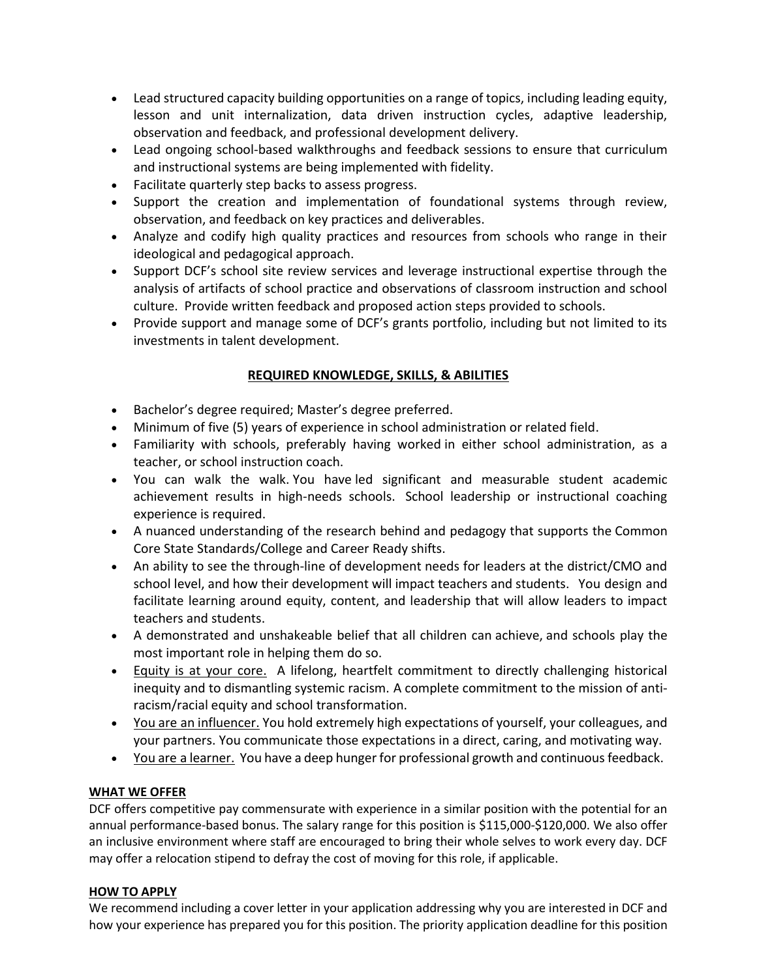- Lead structured capacity building opportunities on a range of topics, including leading equity, lesson and unit internalization, data driven instruction cycles, adaptive leadership, observation and feedback, and professional development delivery.
- Lead ongoing school-based walkthroughs and feedback sessions to ensure that curriculum and instructional systems are being implemented with fidelity.
- Facilitate quarterly step backs to assess progress.
- Support the creation and implementation of foundational systems through review, observation, and feedback on key practices and deliverables.
- Analyze and codify high quality practices and resources from schools who range in their ideological and pedagogical approach.
- Support DCF's school site review services and leverage instructional expertise through the analysis of artifacts of school practice and observations of classroom instruction and school culture.  Provide written feedback and proposed action steps provided to schools.
- Provide support and manage some of DCF's grants portfolio, including but not limited to its investments in talent development.

# **REQUIRED KNOWLEDGE, SKILLS, & ABILITIES**

- Bachelor's degree required; Master's degree preferred.
- Minimum of five (5) years of experience in school administration or related field.
- Familiarity with schools, preferably having worked in either school administration, as a teacher, or school instruction coach.
- You can walk the walk. You have led significant and measurable student academic achievement results in high-needs schools.  School leadership or instructional coaching experience is required.
- A nuanced understanding of the research behind and pedagogy that supports the Common Core State Standards/College and Career Ready shifts.
- An ability to see the through-line of development needs for leaders at the district/CMO and school level, and how their development will impact teachers and students. You design and facilitate learning around equity, content, and leadership that will allow leaders to impact teachers and students.
- A demonstrated and unshakeable belief that all children can achieve, and schools play the most important role in helping them do so.
- Equity is at your core. A lifelong, heartfelt commitment to directly challenging historical inequity and to dismantling systemic racism. A complete commitment to the mission of antiracism/racial equity and school transformation.
- You are an influencer. You hold extremely high expectations of yourself, your colleagues, and your partners. You communicate those expectations in a direct, caring, and motivating way.
- You are a learner. You have a deep hunger for professional growth and continuous feedback.

### **WHAT WE OFFER**

DCF offers competitive pay commensurate with experience in a similar position with the potential for an annual performance-based bonus. The salary range for this position is \$115,000-\$120,000. We also offer an inclusive environment where staff are encouraged to bring their whole selves to work every day. DCF may offer a relocation stipend to defray the cost of moving for this role, if applicable.

#### **HOW TO APPLY**

We recommend including a cover letter in your application addressing why you are interested in DCF and how your experience has prepared you for this position. The priority application deadline for this position